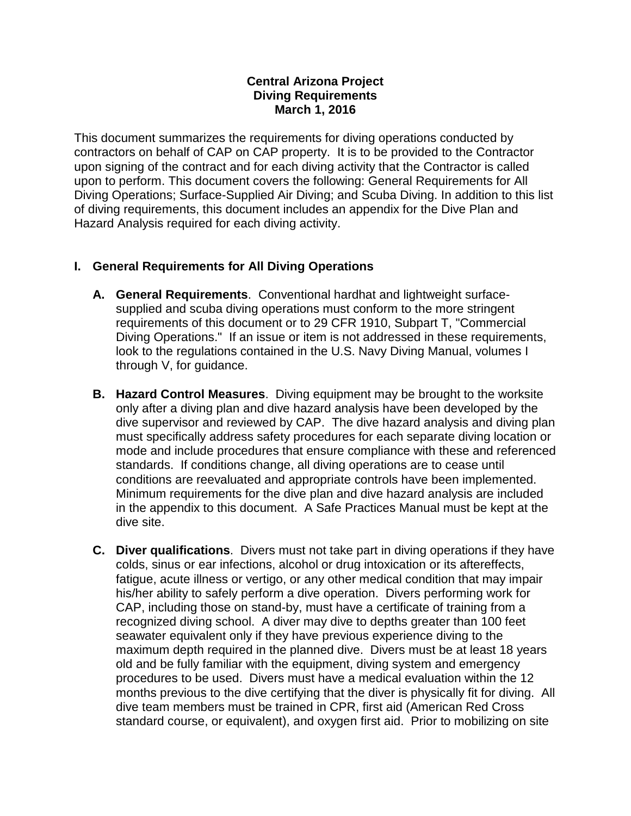#### **Central Arizona Project Diving Requirements March 1, 2016**

This document summarizes the requirements for diving operations conducted by contractors on behalf of CAP on CAP property. It is to be provided to the Contractor upon signing of the contract and for each diving activity that the Contractor is called upon to perform. This document covers the following: General Requirements for All Diving Operations; Surface-Supplied Air Diving; and Scuba Diving. In addition to this list of diving requirements, this document includes an appendix for the Dive Plan and Hazard Analysis required for each diving activity.

# **I. General Requirements for All Diving Operations**

- **A. General Requirements**. Conventional hardhat and lightweight surfacesupplied and scuba diving operations must conform to the more stringent requirements of this document or to 29 CFR 1910, Subpart T, "Commercial Diving Operations." If an issue or item is not addressed in these requirements, look to the regulations contained in the U.S. Navy Diving Manual, volumes I through V, for guidance.
- **B. Hazard Control Measures**. Diving equipment may be brought to the worksite only after a diving plan and dive hazard analysis have been developed by the dive supervisor and reviewed by CAP. The dive hazard analysis and diving plan must specifically address safety procedures for each separate diving location or mode and include procedures that ensure compliance with these and referenced standards. If conditions change, all diving operations are to cease until conditions are reevaluated and appropriate controls have been implemented. Minimum requirements for the dive plan and dive hazard analysis are included in the appendix to this document. A Safe Practices Manual must be kept at the dive site.
- **C. Diver qualifications**. Divers must not take part in diving operations if they have colds, sinus or ear infections, alcohol or drug intoxication or its aftereffects, fatigue, acute illness or vertigo, or any other medical condition that may impair his/her ability to safely perform a dive operation. Divers performing work for CAP, including those on stand-by, must have a certificate of training from a recognized diving school. A diver may dive to depths greater than 100 feet seawater equivalent only if they have previous experience diving to the maximum depth required in the planned dive. Divers must be at least 18 years old and be fully familiar with the equipment, diving system and emergency procedures to be used. Divers must have a medical evaluation within the 12 months previous to the dive certifying that the diver is physically fit for diving. All dive team members must be trained in CPR, first aid (American Red Cross standard course, or equivalent), and oxygen first aid. Prior to mobilizing on site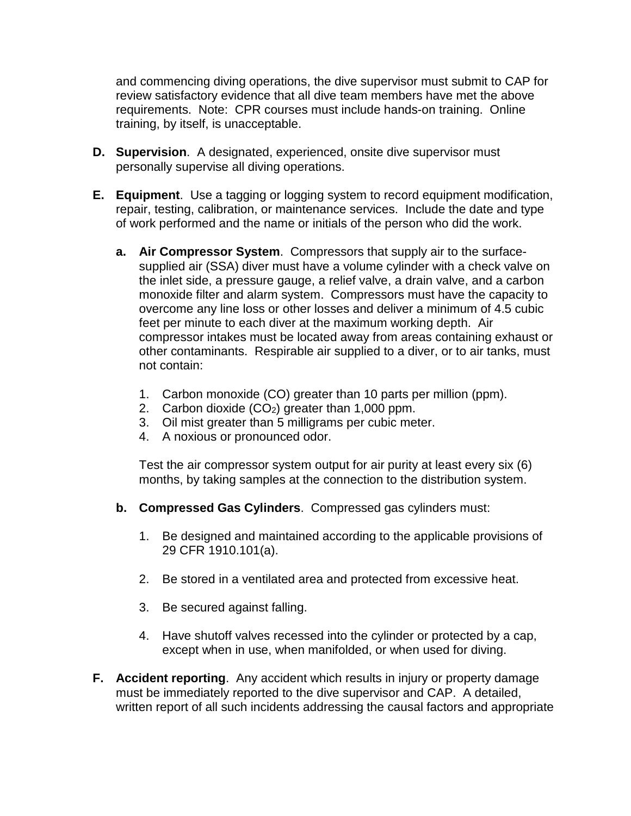and commencing diving operations, the dive supervisor must submit to CAP for review satisfactory evidence that all dive team members have met the above requirements. Note: CPR courses must include hands-on training. Online training, by itself, is unacceptable.

- **D. Supervision**. A designated, experienced, onsite dive supervisor must personally supervise all diving operations.
- **E. Equipment**. Use a tagging or logging system to record equipment modification, repair, testing, calibration, or maintenance services. Include the date and type of work performed and the name or initials of the person who did the work.
	- **a. Air Compressor System**. Compressors that supply air to the surfacesupplied air (SSA) diver must have a volume cylinder with a check valve on the inlet side, a pressure gauge, a relief valve, a drain valve, and a carbon monoxide filter and alarm system. Compressors must have the capacity to overcome any line loss or other losses and deliver a minimum of 4.5 cubic feet per minute to each diver at the maximum working depth. Air compressor intakes must be located away from areas containing exhaust or other contaminants. Respirable air supplied to a diver, or to air tanks, must not contain:
		- 1. Carbon monoxide (CO) greater than 10 parts per million (ppm).
		- 2. Carbon dioxide  $(CO<sub>2</sub>)$  greater than 1,000 ppm.
		- 3. Oil mist greater than 5 milligrams per cubic meter.
		- 4. A noxious or pronounced odor.

Test the air compressor system output for air purity at least every six (6) months, by taking samples at the connection to the distribution system.

- **b. Compressed Gas Cylinders**. Compressed gas cylinders must:
	- 1. Be designed and maintained according to the applicable provisions of 29 CFR 1910.101(a).
	- 2. Be stored in a ventilated area and protected from excessive heat.
	- 3. Be secured against falling.
	- 4. Have shutoff valves recessed into the cylinder or protected by a cap, except when in use, when manifolded, or when used for diving.
- **F. Accident reporting**. Any accident which results in injury or property damage must be immediately reported to the dive supervisor and CAP. A detailed, written report of all such incidents addressing the causal factors and appropriate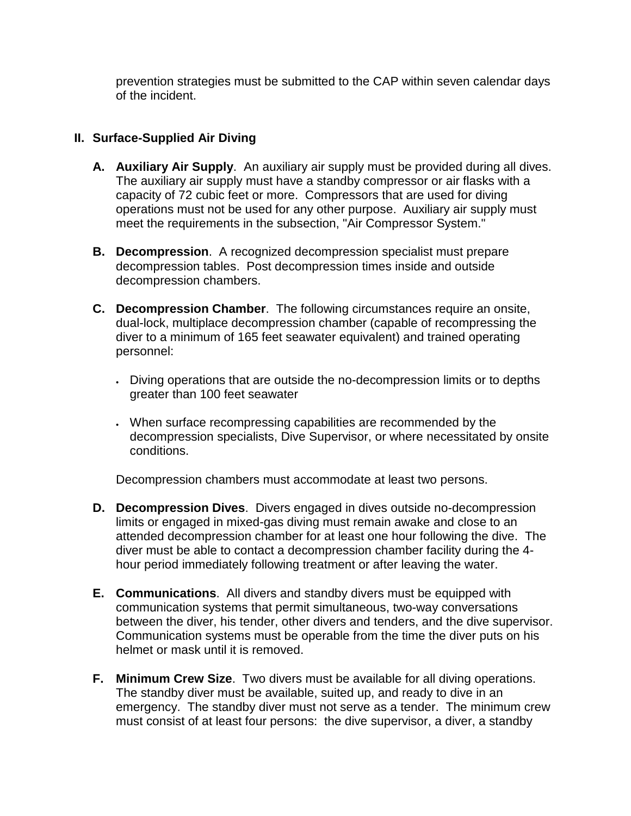prevention strategies must be submitted to the CAP within seven calendar days of the incident.

# **II. Surface-Supplied Air Diving**

- **A. Auxiliary Air Supply**. An auxiliary air supply must be provided during all dives. The auxiliary air supply must have a standby compressor or air flasks with a capacity of 72 cubic feet or more. Compressors that are used for diving operations must not be used for any other purpose. Auxiliary air supply must meet the requirements in the subsection, "Air Compressor System."
- **B. Decompression**. A recognized decompression specialist must prepare decompression tables. Post decompression times inside and outside decompression chambers.
- **C. Decompression Chamber**. The following circumstances require an onsite, dual-lock, multiplace decompression chamber (capable of recompressing the diver to a minimum of 165 feet seawater equivalent) and trained operating personnel:
	- Diving operations that are outside the no-decompression limits or to depths greater than 100 feet seawater
	- When surface recompressing capabilities are recommended by the decompression specialists, Dive Supervisor, or where necessitated by onsite conditions.

Decompression chambers must accommodate at least two persons.

- **D. Decompression Dives**. Divers engaged in dives outside no-decompression limits or engaged in mixed-gas diving must remain awake and close to an attended decompression chamber for at least one hour following the dive. The diver must be able to contact a decompression chamber facility during the 4 hour period immediately following treatment or after leaving the water.
- **E. Communications**. All divers and standby divers must be equipped with communication systems that permit simultaneous, two-way conversations between the diver, his tender, other divers and tenders, and the dive supervisor. Communication systems must be operable from the time the diver puts on his helmet or mask until it is removed.
- **F. Minimum Crew Size**. Two divers must be available for all diving operations. The standby diver must be available, suited up, and ready to dive in an emergency. The standby diver must not serve as a tender. The minimum crew must consist of at least four persons: the dive supervisor, a diver, a standby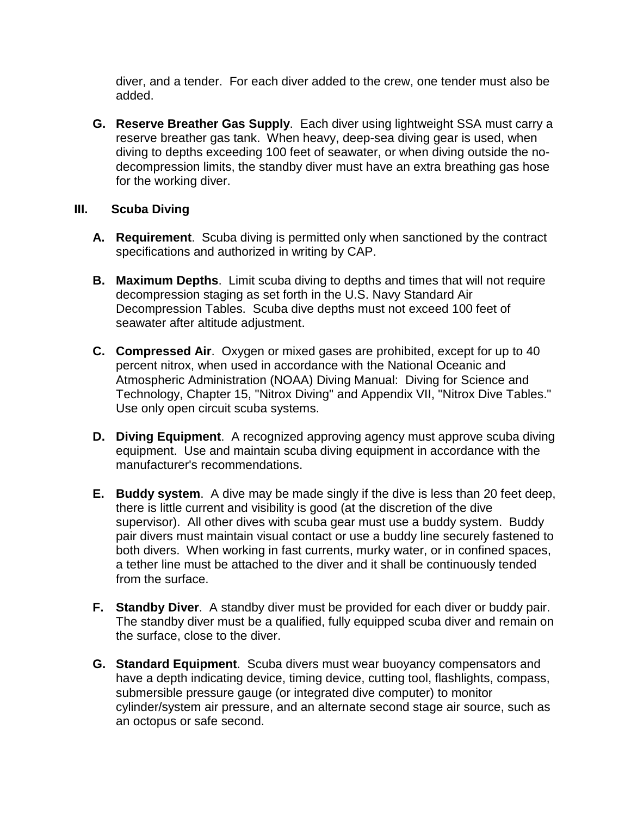diver, and a tender. For each diver added to the crew, one tender must also be added.

**G. Reserve Breather Gas Supply**. Each diver using lightweight SSA must carry a reserve breather gas tank. When heavy, deep-sea diving gear is used, when diving to depths exceeding 100 feet of seawater, or when diving outside the nodecompression limits, the standby diver must have an extra breathing gas hose for the working diver.

#### **III. Scuba Diving**

- **A. Requirement**. Scuba diving is permitted only when sanctioned by the contract specifications and authorized in writing by CAP.
- **B. Maximum Depths**. Limit scuba diving to depths and times that will not require decompression staging as set forth in the U.S. Navy Standard Air Decompression Tables. Scuba dive depths must not exceed 100 feet of seawater after altitude adjustment.
- **C. Compressed Air**. Oxygen or mixed gases are prohibited, except for up to 40 percent nitrox, when used in accordance with the National Oceanic and Atmospheric Administration (NOAA) Diving Manual: Diving for Science and Technology, Chapter 15, "Nitrox Diving" and Appendix VII, "Nitrox Dive Tables." Use only open circuit scuba systems.
- **D. Diving Equipment**. A recognized approving agency must approve scuba diving equipment. Use and maintain scuba diving equipment in accordance with the manufacturer's recommendations.
- **E. Buddy system**. A dive may be made singly if the dive is less than 20 feet deep, there is little current and visibility is good (at the discretion of the dive supervisor). All other dives with scuba gear must use a buddy system. Buddy pair divers must maintain visual contact or use a buddy line securely fastened to both divers. When working in fast currents, murky water, or in confined spaces, a tether line must be attached to the diver and it shall be continuously tended from the surface.
- **F. Standby Diver**. A standby diver must be provided for each diver or buddy pair. The standby diver must be a qualified, fully equipped scuba diver and remain on the surface, close to the diver.
- **G. Standard Equipment**. Scuba divers must wear buoyancy compensators and have a depth indicating device, timing device, cutting tool, flashlights, compass, submersible pressure gauge (or integrated dive computer) to monitor cylinder/system air pressure, and an alternate second stage air source, such as an octopus or safe second.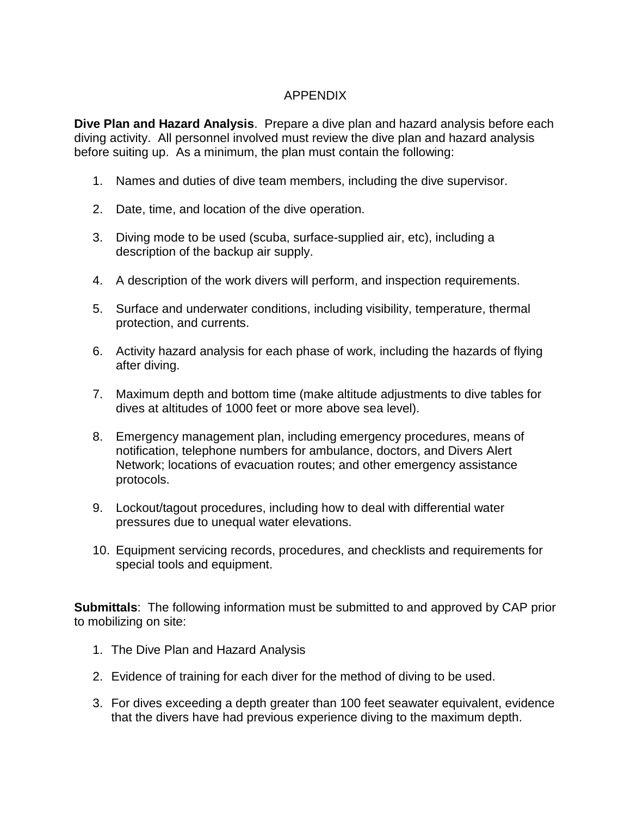# APPENDIX

**Dive Plan and Hazard Analysis**. Prepare a dive plan and hazard analysis before each diving activity. All personnel involved must review the dive plan and hazard analysis before suiting up. As a minimum, the plan must contain the following:

- 1. Names and duties of dive team members, including the dive supervisor.
- 2. Date, time, and location of the dive operation.
- 3. Diving mode to be used (scuba, surface-supplied air, etc), including a description of the backup air supply.
- 4. A description of the work divers will perform, and inspection requirements.
- 5. Surface and underwater conditions, including visibility, temperature, thermal protection, and currents.
- 6. Activity hazard analysis for each phase of work, including the hazards of flying after diving.
- 7. Maximum depth and bottom time (make altitude adjustments to dive tables for dives at altitudes of 1000 feet or more above sea level).
- 8. Emergency management plan, including emergency procedures, means of notification, telephone numbers for ambulance, doctors, and Divers Alert Network; locations of evacuation routes; and other emergency assistance protocols.
- 9. Lockout/tagout procedures, including how to deal with differential water pressures due to unequal water elevations.
- 10. Equipment servicing records, procedures, and checklists and requirements for special tools and equipment.

**Submittals**: The following information must be submitted to and approved by CAP prior to mobilizing on site:

- 1. The Dive Plan and Hazard Analysis
- 2. Evidence of training for each diver for the method of diving to be used.
- 3. For dives exceeding a depth greater than 100 feet seawater equivalent, evidence that the divers have had previous experience diving to the maximum depth.